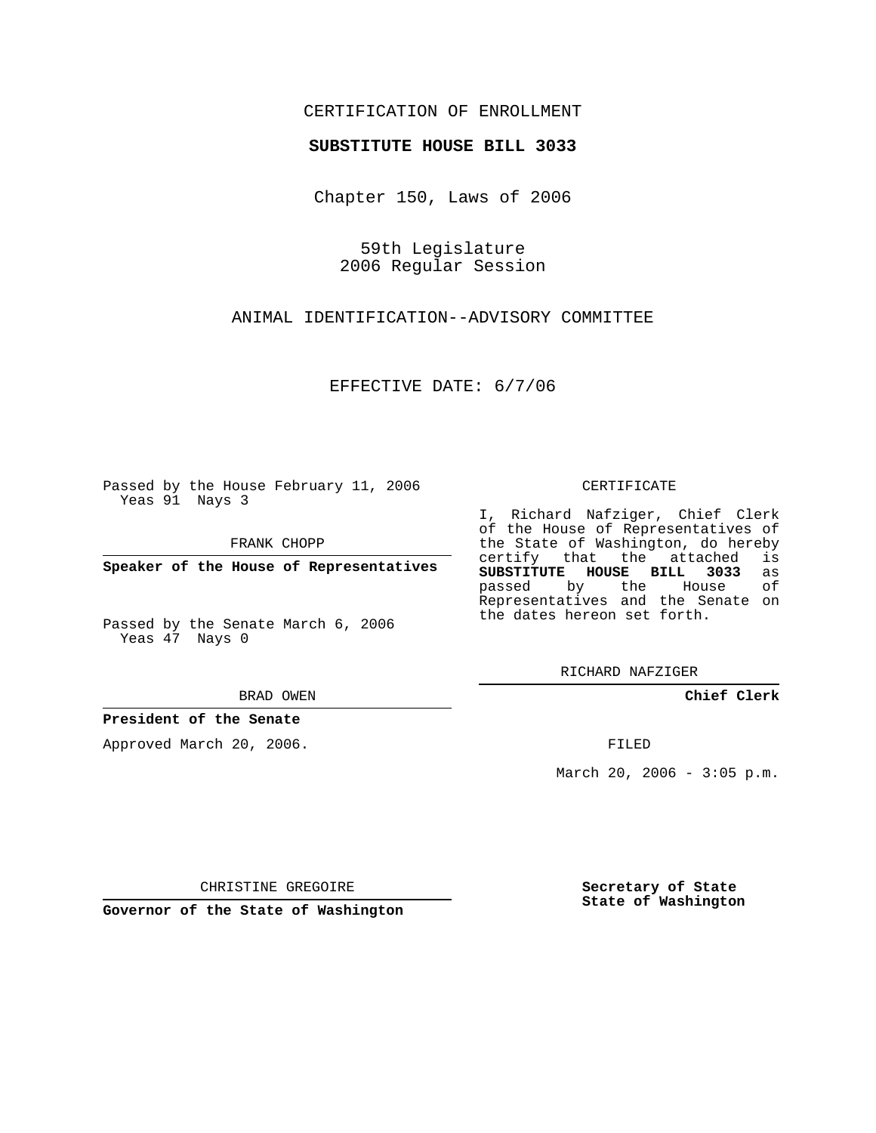## CERTIFICATION OF ENROLLMENT

#### **SUBSTITUTE HOUSE BILL 3033**

Chapter 150, Laws of 2006

59th Legislature 2006 Regular Session

ANIMAL IDENTIFICATION--ADVISORY COMMITTEE

EFFECTIVE DATE: 6/7/06

Passed by the House February 11, 2006 Yeas 91 Nays 3

FRANK CHOPP

**Speaker of the House of Representatives**

Passed by the Senate March 6, 2006 Yeas 47 Nays 0

BRAD OWEN

### **President of the Senate**

Approved March 20, 2006.

CERTIFICATE

I, Richard Nafziger, Chief Clerk of the House of Representatives of the State of Washington, do hereby<br>certify that the attached is certify that the attached **SUBSTITUTE HOUSE BILL 3033** as passed by the Representatives and the Senate on the dates hereon set forth.

RICHARD NAFZIGER

**Chief Clerk**

FILED

March 20, 2006 -  $3:05$  p.m.

CHRISTINE GREGOIRE

**Governor of the State of Washington**

**Secretary of State State of Washington**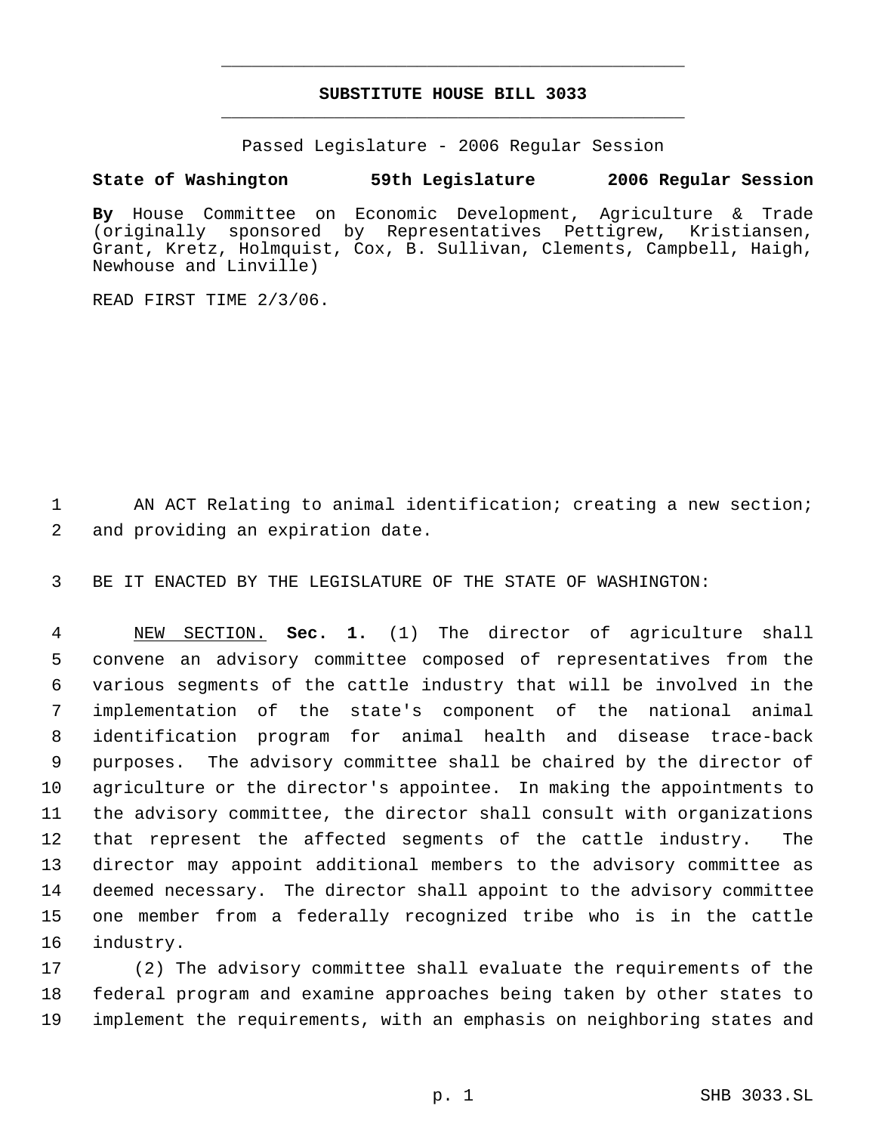# **SUBSTITUTE HOUSE BILL 3033** \_\_\_\_\_\_\_\_\_\_\_\_\_\_\_\_\_\_\_\_\_\_\_\_\_\_\_\_\_\_\_\_\_\_\_\_\_\_\_\_\_\_\_\_\_

\_\_\_\_\_\_\_\_\_\_\_\_\_\_\_\_\_\_\_\_\_\_\_\_\_\_\_\_\_\_\_\_\_\_\_\_\_\_\_\_\_\_\_\_\_

Passed Legislature - 2006 Regular Session

## **State of Washington 59th Legislature 2006 Regular Session**

**By** House Committee on Economic Development, Agriculture & Trade (originally sponsored by Representatives Pettigrew, Kristiansen, Grant, Kretz, Holmquist, Cox, B. Sullivan, Clements, Campbell, Haigh, Newhouse and Linville)

READ FIRST TIME 2/3/06.

1 AN ACT Relating to animal identification; creating a new section; 2 and providing an expiration date.

3 BE IT ENACTED BY THE LEGISLATURE OF THE STATE OF WASHINGTON:

 NEW SECTION. **Sec. 1.** (1) The director of agriculture shall convene an advisory committee composed of representatives from the various segments of the cattle industry that will be involved in the implementation of the state's component of the national animal identification program for animal health and disease trace-back purposes. The advisory committee shall be chaired by the director of agriculture or the director's appointee. In making the appointments to the advisory committee, the director shall consult with organizations that represent the affected segments of the cattle industry. The director may appoint additional members to the advisory committee as deemed necessary. The director shall appoint to the advisory committee one member from a federally recognized tribe who is in the cattle industry.

17 (2) The advisory committee shall evaluate the requirements of the 18 federal program and examine approaches being taken by other states to 19 implement the requirements, with an emphasis on neighboring states and